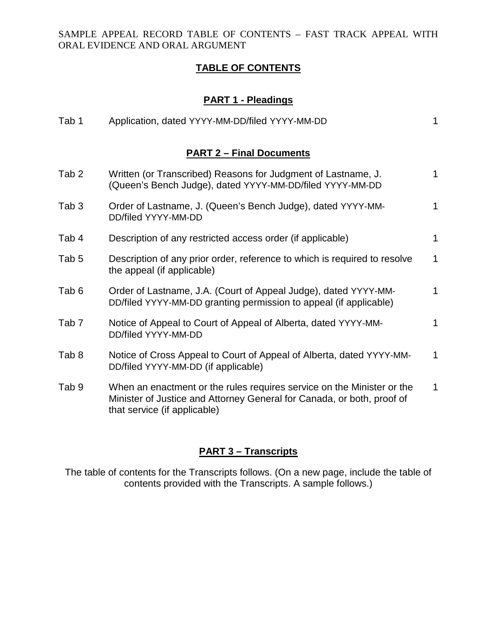## **TABLE OF CONTENTS**

# **PART 1 - Pleadings**

| Tab 1                           | Application, dated YYYY-MM-DD/filed YYYY-MM-DD                                                                                                                                   | 1           |  |  |
|---------------------------------|----------------------------------------------------------------------------------------------------------------------------------------------------------------------------------|-------------|--|--|
| <b>PART 2 - Final Documents</b> |                                                                                                                                                                                  |             |  |  |
| Tab <sub>2</sub>                | Written (or Transcribed) Reasons for Judgment of Lastname, J.<br>(Queen's Bench Judge), dated YYYY-MM-DD/filed YYYY-MM-DD                                                        | $\mathbf 1$ |  |  |
| Tab <sub>3</sub>                | Order of Lastname, J. (Queen's Bench Judge), dated YYYY-MM-<br>DD/filed YYYY-MM-DD                                                                                               | 1           |  |  |
| Tab 4                           | Description of any restricted access order (if applicable)                                                                                                                       | 1           |  |  |
| Tab 5                           | Description of any prior order, reference to which is required to resolve<br>the appeal (if applicable)                                                                          | $\mathbf 1$ |  |  |
| Tab <sub>6</sub>                | Order of Lastname, J.A. (Court of Appeal Judge), dated YYYY-MM-<br>DD/filed YYYY-MM-DD granting permission to appeal (if applicable)                                             | 1           |  |  |
| Tab <sub>7</sub>                | Notice of Appeal to Court of Appeal of Alberta, dated YYYY-MM-<br>DD/filed YYYY-MM-DD                                                                                            | 1           |  |  |
| Tab <sub>8</sub>                | Notice of Cross Appeal to Court of Appeal of Alberta, dated YYYY-MM-<br>DD/filed YYYY-MM-DD (if applicable)                                                                      | 1           |  |  |
| Tab <sub>9</sub>                | When an enactment or the rules requires service on the Minister or the<br>Minister of Justice and Attorney General for Canada, or both, proof of<br>that service (if applicable) | 1           |  |  |

### **PART 3 – Transcripts**

The table of contents for the Transcripts follows. (On a new page, include the table of contents provided with the Transcripts. A sample follows.)